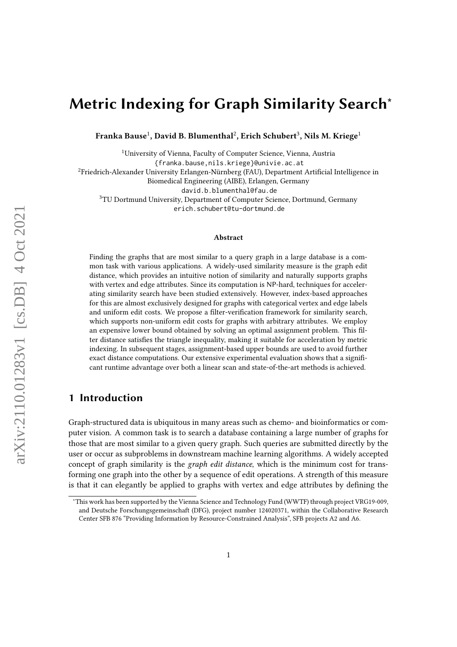# Metric Indexing for Graph Similarity Search<sup>∗</sup>

Franka Bause $^1$ , David B. Blumenthal $^2$ , Erich Schubert $^3$ , Nils M. Kriege $^1$ 

<sup>1</sup>University of Vienna, Faculty of Computer Science, Vienna, Austria

{franka.bause,nils.kriege}@univie.ac.at

<sup>2</sup>Friedrich-Alexander University Erlangen-Nürnberg (FAU), Department Artificial Intelligence in

Biomedical Engineering (AIBE), Erlangen, Germany

david.b.blumenthal@fau.de

<sup>3</sup>TU Dortmund University, Department of Computer Science, Dortmund, Germany

erich.schubert@tu-dortmund.de

#### Abstract

Finding the graphs that are most similar to a query graph in a large database is a common task with various applications. A widely-used similarity measure is the graph edit distance, which provides an intuitive notion of similarity and naturally supports graphs with vertex and edge attributes. Since its computation is NP-hard, techniques for accelerating similarity search have been studied extensively. However, index-based approaches for this are almost exclusively designed for graphs with categorical vertex and edge labels and uniform edit costs. We propose a filter-verification framework for similarity search, which supports non-uniform edit costs for graphs with arbitrary attributes. We employ an expensive lower bound obtained by solving an optimal assignment problem. This filter distance satisfies the triangle inequality, making it suitable for acceleration by metric indexing. In subsequent stages, assignment-based upper bounds are used to avoid further exact distance computations. Our extensive experimental evaluation shows that a significant runtime advantage over both a linear scan and state-of-the-art methods is achieved.

### 1 Introduction

Graph-structured data is ubiquitous in many areas such as chemo- and bioinformatics or computer vision. A common task is to search a database containing a large number of graphs for those that are most similar to a given query graph. Such queries are submitted directly by the user or occur as subproblems in downstream machine learning algorithms. A widely accepted concept of graph similarity is the graph edit distance, which is the minimum cost for transforming one graph into the other by a sequence of edit operations. A strength of this measure is that it can elegantly be applied to graphs with vertex and edge attributes by defining the

<sup>∗</sup>This work has been supported by the Vienna Science and Technology Fund (WWTF) through project VRG19-009, and Deutsche Forschungsgemeinschaft (DFG), project number 124020371, within the Collaborative Research Center SFB 876 "Providing Information by Resource-Constrained Analysis", SFB projects A2 and A6.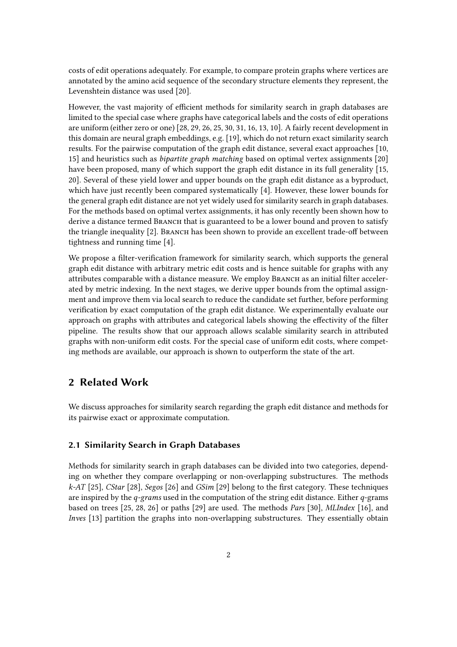costs of edit operations adequately. For example, to compare protein graphs where vertices are annotated by the amino acid sequence of the secondary structure elements they represent, the Levenshtein distance was used [\[20\]](#page-14-0).

However, the vast majority of efficient methods for similarity search in graph databases are limited to the special case where graphs have categorical labels and the costs of edit operations are uniform (either zero or one) [\[28,](#page-14-1) [29,](#page-14-2) [26,](#page-14-3) [25,](#page-14-4) [30,](#page-14-5) [31,](#page-14-6) [16,](#page-13-0) [13,](#page-13-1) [10\]](#page-13-2). A fairly recent development in this domain are neural graph embeddings, e.g. [\[19\]](#page-14-7), which do not return exact similarity search results. For the pairwise computation of the graph edit distance, several exact approaches [\[10,](#page-13-2) [15\]](#page-13-3) and heuristics such as bipartite graph matching based on optimal vertex assignments [\[20\]](#page-14-0) have been proposed, many of which support the graph edit distance in its full generality [\[15,](#page-13-3) [20\]](#page-14-0). Several of these yield lower and upper bounds on the graph edit distance as a byproduct, which have just recently been compared systematically [\[4\]](#page-13-4). However, these lower bounds for the general graph edit distance are not yet widely used for similarity search in graph databases. For the methods based on optimal vertex assignments, it has only recently been shown how to derive a distance termed BRANCH that is guaranteed to be a lower bound and proven to satisfy the triangle inequality  $[2]$ . Branch has been shown to provide an excellent trade-off between tightness and running time [\[4\]](#page-13-4).

We propose a filter-verification framework for similarity search, which supports the general graph edit distance with arbitrary metric edit costs and is hence suitable for graphs with any attributes comparable with a distance measure. We employ BRANCH as an initial filter accelerated by metric indexing. In the next stages, we derive upper bounds from the optimal assignment and improve them via local search to reduce the candidate set further, before performing verification by exact computation of the graph edit distance. We experimentally evaluate our approach on graphs with attributes and categorical labels showing the effectivity of the filter pipeline. The results show that our approach allows scalable similarity search in attributed graphs with non-uniform edit costs. For the special case of uniform edit costs, where competing methods are available, our approach is shown to outperform the state of the art.

### 2 Related Work

We discuss approaches for similarity search regarding the graph edit distance and methods for its pairwise exact or approximate computation.

### 2.1 Similarity Search in Graph Databases

Methods for similarity search in graph databases can be divided into two categories, depending on whether they compare overlapping or non-overlapping substructures. The methods  $k$ -AT [\[25\]](#page-14-4), CStar [\[28\]](#page-14-1), Segos [\[26\]](#page-14-3) and GSim [\[29\]](#page-14-2) belong to the first category. These techniques are inspired by the  $q$ -grams used in the computation of the string edit distance. Either  $q$ -grams based on trees [\[25,](#page-14-4) [28,](#page-14-1) [26\]](#page-14-3) or paths [\[29\]](#page-14-2) are used. The methods Pars [\[30\]](#page-14-5), MLIndex [\[16\]](#page-13-0), and Inves [\[13\]](#page-13-1) partition the graphs into non-overlapping substructures. They essentially obtain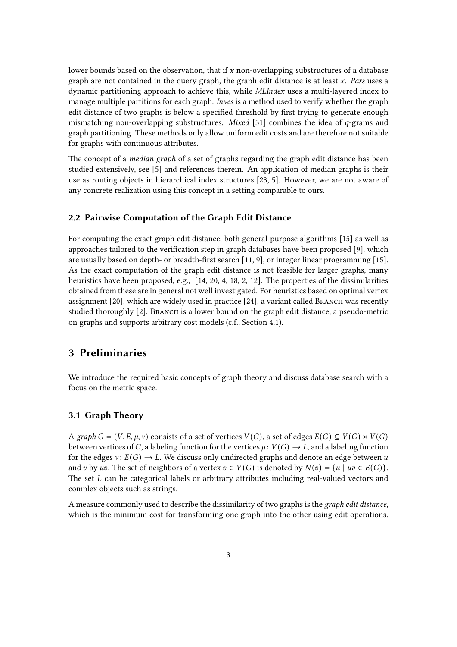lower bounds based on the observation, that if  $x$  non-overlapping substructures of a database graph are not contained in the query graph, the graph edit distance is at least  $x$ . Pars uses a dynamic partitioning approach to achieve this, while MLIndex uses a multi-layered index to manage multiple partitions for each graph. *Inves* is a method used to verify whether the graph edit distance of two graphs is below a specified threshold by first trying to generate enough mismatching non-overlapping substructures. *Mixed* [\[31\]](#page-14-6) combines the idea of  $q$ -grams and graph partitioning. These methods only allow uniform edit costs and are therefore not suitable for graphs with continuous attributes.

The concept of a *median graph* of a set of graphs regarding the graph edit distance has been studied extensively, see [\[5\]](#page-13-6) and references therein. An application of median graphs is their use as routing objects in hierarchical index structures [\[23,](#page-14-8) [5\]](#page-13-6). However, we are not aware of any concrete realization using this concept in a setting comparable to ours.

#### 2.2 Pairwise Computation of the Graph Edit Distance

For computing the exact graph edit distance, both general-purpose algorithms [\[15\]](#page-13-3) as well as approaches tailored to the verification step in graph databases have been proposed [\[9\]](#page-13-7), which are usually based on depth- or breadth-first search  $[11, 9]$  $[11, 9]$ , or integer linear programming  $[15]$ . As the exact computation of the graph edit distance is not feasible for larger graphs, many heuristics have been proposed, e.g., [\[14,](#page-13-9) [20,](#page-14-0) [4,](#page-13-4) [18,](#page-14-9) [2,](#page-13-5) [12\]](#page-13-10). The properties of the dissimilarities obtained from these are in general not well investigated. For heuristics based on optimal vertex assignment  $[20]$ , which are widely used in practice  $[24]$ , a variant called BRANCH was recently studied thoroughly [\[2\]](#page-13-5). BRANCH is a lower bound on the graph edit distance, a pseudo-metric on graphs and supports arbitrary cost models (c.f., Section [4.1\)](#page-5-0).

## 3 Preliminaries

We introduce the required basic concepts of graph theory and discuss database search with a focus on the metric space.

### 3.1 Graph Theory

A graph  $G = (V, E, \mu, \nu)$  consists of a set of vertices  $V(G)$ , a set of edges  $E(G) \subseteq V(G) \times V(G)$ between vertices of G, a labeling function for the vertices  $\mu: V(G) \to L$ , and a labeling function for the edges  $v: E(G) \to L$ . We discuss only undirected graphs and denote an edge between u and v by uv. The set of neighbors of a vertex  $v \in V(G)$  is denoted by  $N(v) = \{u \mid uv \in E(G)\}\.$ The set  $L$  can be categorical labels or arbitrary attributes including real-valued vectors and complex objects such as strings.

A measure commonly used to describe the dissimilarity of two graphs is the graph edit distance, which is the minimum cost for transforming one graph into the other using edit operations.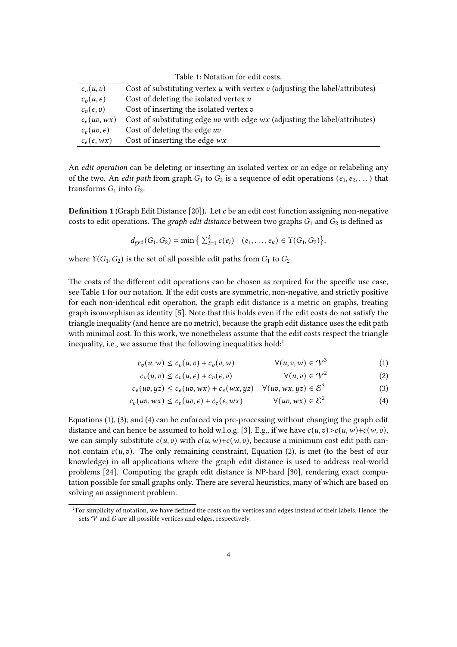<span id="page-3-0"></span>

| Table 1. Notation for cuit costs. |                                                                                          |  |  |  |  |
|-----------------------------------|------------------------------------------------------------------------------------------|--|--|--|--|
| $c_n(u,v)$                        | Cost of substituting vertex $u$ with vertex $v$ (adjusting the label/attributes)         |  |  |  |  |
| $c_n(u,\epsilon)$                 | Cost of deleting the isolated vertex $u$                                                 |  |  |  |  |
| $c_v(\epsilon, v)$                | Cost of inserting the isolated vertex $v$                                                |  |  |  |  |
| $c_e(uv, wx)$                     | Cost of substituting edge <i>uv</i> with edge <i>wx</i> (adjusting the label/attributes) |  |  |  |  |
| $c_e(uv, \epsilon)$               | Cost of deleting the edge uv                                                             |  |  |  |  |
| $c_e(\epsilon, wx)$               | Cost of inserting the edge $wx$                                                          |  |  |  |  |

Table 1: Notation for edit costs.

An *edit operation* can be deleting or inserting an isolated vertex or an edge or relabeling any of the two. An *edit path* from graph  $G_1$  to  $G_2$  is a sequence of edit operations  $(e_1, e_2, \dots)$  that transforms  $G_1$  into  $G_2$ .

**Definition 1** (Graph Edit Distance [\[20\]](#page-14-0)). Let c be an edit cost function assigning non-negative costs to edit operations. The graph edit distance between two graphs  $G_1$  and  $G_2$  is defined as

$$
d_{\text{ged}}(G_1, G_2) = \min \big\{ \sum_{i=1}^k c(e_i) \mid (e_1, \ldots, e_k) \in \Upsilon(G_1, G_2) \big\},
$$

where  $\Upsilon(G_1, G_2)$  is the set of all possible edit paths from  $G_1$  to  $G_2$ .

The costs of the different edit operations can be chosen as required for the specific use case, see Table [1](#page-3-0) for our notation. If the edit costs are symmetric, non-negative, and strictly positive for each non-identical edit operation, the graph edit distance is a metric on graphs, treating graph isomorphism as identity [\[5\]](#page-13-6). Note that this holds even if the edit costs do not satisfy the triangle inequality (and hence are no metric), because the graph edit distance uses the edit path with minimal cost. In this work, we nonetheless assume that the edit costs respect the triangle inequality, i.e., we assume that the following inequalities hold: $<sup>1</sup>$  $<sup>1</sup>$  $<sup>1</sup>$ </sup>

<span id="page-3-5"></span><span id="page-3-2"></span>
$$
c_v(u, w) \le c_v(u, v) + c_v(v, w) \qquad \forall (u, v, w) \in \mathcal{V}^3 \qquad (1)
$$

<span id="page-3-4"></span><span id="page-3-3"></span> $c_v(u, v) \le c_v(u, \epsilon) + c_v(\epsilon, v)$   $\forall (u, v) \in \mathcal{V}^2$ (2)

$$
c_e(uv, yz) \le c_e(uv, wx) + c_e(wx, yz) \quad \forall (uv, wx, yz) \in \mathcal{E}^3
$$
 (3)

$$
c_e(uv, wx) \le c_e(uv, \epsilon) + c_e(\epsilon, wx) \qquad \forall (uv, wx) \in \mathcal{E}^2 \tag{4}
$$

Equations [\(1\)](#page-3-2), [\(3\)](#page-3-3), and [\(4\)](#page-3-4) can be enforced via pre-processing without changing the graph edit distance and can hence be assumed to hold w.l.o.g. [\[3\]](#page-13-11). E.g., if we have  $c(u, v) > c(u, w) + c(w, v)$ , we can simply substitute  $c(u, v)$  with  $c(u, w)+c(w, v)$ , because a minimum cost edit path cannot contain  $c(u, v)$ . The only remaining constraint, Equation [\(2\)](#page-3-5), is met (to the best of our knowledge) in all applications where the graph edit distance is used to address real-world problems [\[24\]](#page-14-10). Computing the graph edit distance is NP-hard [\[30\]](#page-14-5), rendering exact computation possible for small graphs only. There are several heuristics, many of which are based on solving an assignment problem.

<span id="page-3-1"></span> $1$ For simplicity of notation, we have defined the costs on the vertices and edges instead of their labels. Hence, the sets  $V$  and  $E$  are all possible vertices and edges, respectively.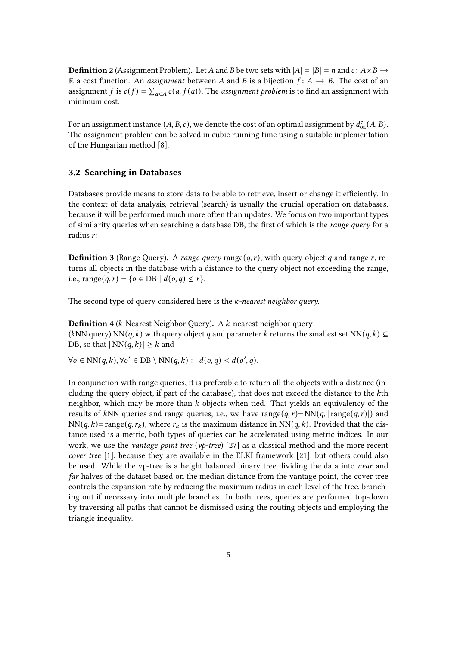**Definition 2** (Assignment Problem). Let A and B be two sets with  $|A| = |B| = n$  and  $c: A \times B \rightarrow$ R a cost function. An *assignment* between A and B is a bijection  $f: A \rightarrow B$ . The cost of an assignment f is  $c(f) = \sum_{a \in A} c(a, f(a))$ . The assignment problem is to find an assignment with minimum cost.

For an assignment instance  $(A, B, c)$ , we denote the cost of an optimal assignment by  $d_{oa}^c(A, B)$ . The assignment problem can be solved in cubic running time using a suitable implementation of the Hungarian method [\[8\]](#page-13-12).

#### 3.2 Searching in Databases

Databases provide means to store data to be able to retrieve, insert or change it efficiently. In the context of data analysis, retrieval (search) is usually the crucial operation on databases, because it will be performed much more often than updates. We focus on two important types of similarity queries when searching a database DB, the first of which is the *range query* for a radius  $r$ :

**Definition 3** (Range Query). A range query range( $q, r$ ), with query object q and range r, returns all objects in the database with a distance to the query object not exceeding the range, i.e.,  $range(q, r) = \{ o \in DB \mid d(o, q) \le r \}.$ 

The second type of query considered here is the  $k$ -nearest neighbor query.

**Definition 4** ( $k$ -Nearest Neighbor Query). A  $k$ -nearest neighbor query (kNN query) NN(q, k) with query object q and parameter k returns the smallest set NN(q, k)  $\subseteq$ DB, so that  $|NN(q, k)| \geq k$  and

 $\forall o \in NN(q, k), \forall o' \in DB \setminus NN(q, k): d(o, q) < d(o', q).$ 

In conjunction with range queries, it is preferable to return all the objects with a distance (including the query object, if part of the database), that does not exceed the distance to the kth neighbor, which may be more than  $k$  objects when tied. That yields an equivalency of the results of kNN queries and range queries, i.e., we have range $(q, r)$ =NN $(q, |\text{range}(q, r)|)$  and  $NN(q, k) = range(q, r_k)$ , where  $r_k$  is the maximum distance in  $NN(q, k)$ . Provided that the distance used is a metric, both types of queries can be accelerated using metric indices. In our work, we use the *vantage point tree* ( $v$ *p*-tree) [\[27\]](#page-14-11) as a classical method and the more recent cover tree [\[1\]](#page-13-13), because they are available in the ELKI framework [\[21\]](#page-14-12), but others could also be used. While the vp-tree is a height balanced binary tree dividing the data into *near* and far halves of the dataset based on the median distance from the vantage point, the cover tree controls the expansion rate by reducing the maximum radius in each level of the tree, branching out if necessary into multiple branches. In both trees, queries are performed top-down by traversing all paths that cannot be dismissed using the routing objects and employing the triangle inequality.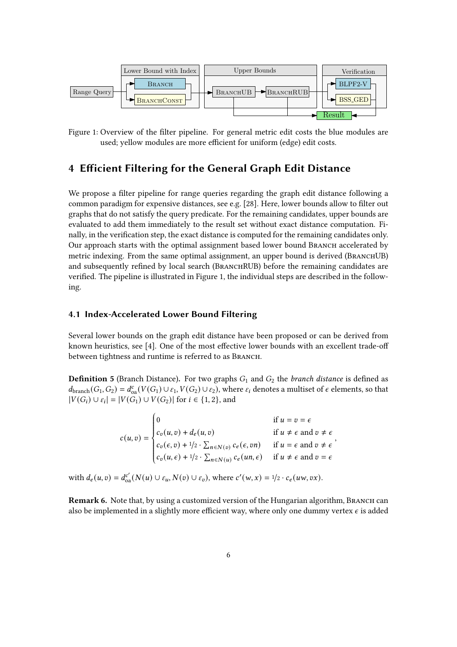<span id="page-5-1"></span>

Figure 1: Overview of the filter pipeline. For general metric edit costs the blue modules are used; yellow modules are more efficient for uniform (edge) edit costs.

### 4 Efficient Filtering for the General Graph Edit Distance

We propose a filter pipeline for range queries regarding the graph edit distance following a common paradigm for expensive distances, see e.g. [\[28\]](#page-14-1). Here, lower bounds allow to filter out graphs that do not satisfy the query predicate. For the remaining candidates, upper bounds are evaluated to add them immediately to the result set without exact distance computation. Finally, in the verification step, the exact distance is computed for the remaining candidates only. Our approach starts with the optimal assignment based lower bound BRANCH accelerated by metric indexing. From the same optimal assignment, an upper bound is derived (BRANCHUB) and subsequently refined by local search (BRANCHRUB) before the remaining candidates are verified. The pipeline is illustrated in Figure [1,](#page-5-1) the individual steps are described in the following.

#### <span id="page-5-0"></span>4.1 Index-Accelerated Lower Bound Filtering

Several lower bounds on the graph edit distance have been proposed or can be derived from known heuristics, see  $[4]$ . One of the most effective lower bounds with an excellent trade-off between tightness and runtime is referred to as Branch.

<span id="page-5-2"></span>**Definition 5** (Branch Distance). For two graphs  $G_1$  and  $G_2$  the *branch distance* is defined as  $d_{\text{branch}}(G_1, G_2) = d_{\text{oa}}^c(V(G_1) \cup \varepsilon_1, V(G_2) \cup \varepsilon_2)$ , where  $\varepsilon_i$  denotes a multiset of  $\epsilon$  elements, so that  $|V(G_i) \cup \varepsilon_i| = |V(G_1) \cup V(G_2)|$  for  $i \in \{1, 2\}$ , and

|  |                                                                                                                                                                                                                                                                                                                                                                                      | if $u = v = \epsilon$ |
|--|--------------------------------------------------------------------------------------------------------------------------------------------------------------------------------------------------------------------------------------------------------------------------------------------------------------------------------------------------------------------------------------|-----------------------|
|  |                                                                                                                                                                                                                                                                                                                                                                                      |                       |
|  |                                                                                                                                                                                                                                                                                                                                                                                      |                       |
|  | $c(u,v) = \begin{cases} c_v(u,v) + d_e(u,v) & \text{if } u \neq \epsilon \text{ and } v \neq \epsilon \\ c_v(\epsilon,v) + \frac{1}{2} \cdot \sum_{n \in N(v)} c_e(\epsilon,vn) & \text{if } u = \epsilon \text{ and } v \neq \epsilon \\ c_v(u,\epsilon) + \frac{1}{2} \cdot \sum_{n \in N(u)} c_e(un,\epsilon) & \text{if } u \neq \epsilon \text{ and } v = \epsilon \end{cases}$ |                       |
|  |                                                                                                                                                                                                                                                                                                                                                                                      |                       |

with  $d_e(u, v) = d_{0a}^{c'}(N(u) \cup \varepsilon_u, N(v) \cup \varepsilon_v)$ , where  $c'(w, x) = 1/2 \cdot c_e(uw, vx)$ .

Remark 6. Note that, by using a customized version of the Hungarian algorithm, BRANCH can also be implemented in a slightly more efficient way, where only one dummy vertex  $\epsilon$  is added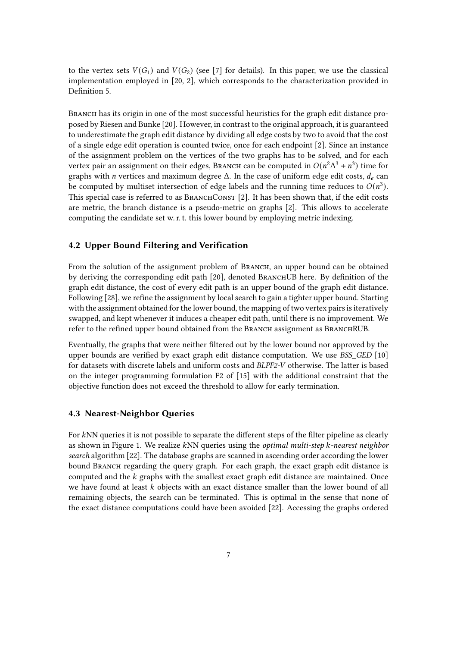to the vertex sets  $V(G_1)$  and  $V(G_2)$  (see [\[7\]](#page-13-14) for details). In this paper, we use the classical implementation employed in [\[20,](#page-14-0) [2\]](#page-13-5), which corresponds to the characterization provided in Definition 5

Branch has its origin in one of the most successful heuristics for the graph edit distance proposed by Riesen and Bunke [\[20\]](#page-14-0). However, in contrast to the original approach, it is guaranteed to underestimate the graph edit distance by dividing all edge costs by two to avoid that the cost of a single edge edit operation is counted twice, once for each endpoint [\[2\]](#page-13-5). Since an instance of the assignment problem on the vertices of the two graphs has to be solved, and for each vertex pair an assignment on their edges, BRANCH can be computed in  $O(n^2\Delta^3 + n^3)$  time for graphs with *n* vertices and maximum degree  $\Delta$ . In the case of uniform edge edit costs,  $d_e$  can be computed by multiset intersection of edge labels and the running time reduces to  $O(n^3)$ . This special case is referred to as BRANCHCONST [\[2\]](#page-13-5). It has been shown that, if the edit costs are metric, the branch distance is a pseudo-metric on graphs [\[2\]](#page-13-5). This allows to accelerate computing the candidate set w. r. t. this lower bound by employing metric indexing.

#### 4.2 Upper Bound Filtering and Verification

From the solution of the assignment problem of BRANCH, an upper bound can be obtained by deriving the corresponding edit path [\[20\]](#page-14-0), denoted BRANCHUB here. By definition of the graph edit distance, the cost of every edit path is an upper bound of the graph edit distance. Following [\[28\]](#page-14-1), we refine the assignment by local search to gain a tighter upper bound. Starting with the assignment obtained for the lower bound, the mapping of two vertex pairs is iteratively swapped, and kept whenever it induces a cheaper edit path, until there is no improvement. We refer to the refined upper bound obtained from the BRANCH assignment as BRANCHRUB.

Eventually, the graphs that were neither filtered out by the lower bound nor approved by the upper bounds are verified by exact graph edit distance computation. We use  $BSS~GED~[10]$  $BSS~GED~[10]$ for datasets with discrete labels and uniform costs and BLPF2-V otherwise. The latter is based on the integer programming formulation F2 of [\[15\]](#page-13-3) with the additional constraint that the objective function does not exceed the threshold to allow for early termination.

#### <span id="page-6-0"></span>4.3 Nearest-Neighbor Queries

For kNN queries it is not possible to separate the different steps of the filter pipeline as clearly as shown in Figure [1.](#page-5-1) We realize kNN queries using the optimal multi-step k-nearest neighbor search algorithm [\[22\]](#page-14-13). The database graphs are scanned in ascending order according the lower bound BRANCH regarding the query graph. For each graph, the exact graph edit distance is computed and the  $k$  graphs with the smallest exact graph edit distance are maintained. Once we have found at least  $k$  objects with an exact distance smaller than the lower bound of all remaining objects, the search can be terminated. This is optimal in the sense that none of the exact distance computations could have been avoided [\[22\]](#page-14-13). Accessing the graphs ordered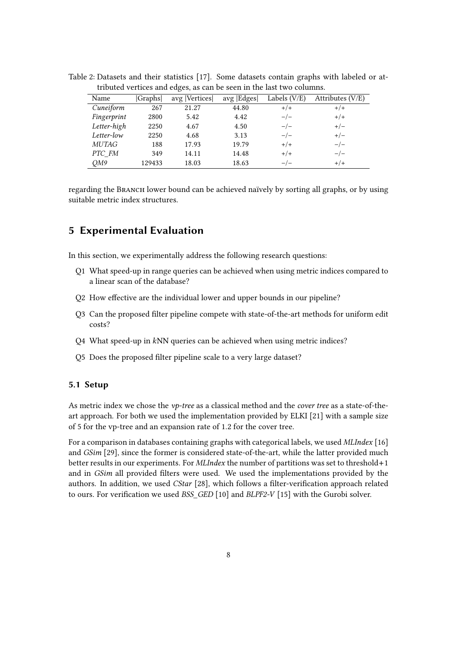| Name         | Graphs | avg  Vertices | avg   Edges | Labels $(V/E)$ | Attributes $(V/E)$ |
|--------------|--------|---------------|-------------|----------------|--------------------|
| Cuneiform    | 267    | 21.27         | 44.80       | $+/+$          | $+/+$              |
| Fingerprint  | 2800   | 5.42          | 4.42        | $-/-$          | $+/+$              |
| Letter-high  | 2250   | 4.67          | 4.50        | $-/-$          | $+/-$              |
| Letter-low   | 2250   | 4.68          | 3.13        | $-/-$          | $+/-$              |
| <i>MUTAG</i> | 188    | 17.93         | 19.79       | $+/+$          | $-/-$              |
| PTC_FM       | 349    | 14.11         | 14.48       | $+/+$          | $-/-$              |
| QM9          | 129433 | 18.03         | 18.63       | $-/-$          | $+/+$              |

<span id="page-7-0"></span>Table 2: Datasets and their statistics [\[17\]](#page-14-14). Some datasets contain graphs with labeled or attributed vertices and edges, as can be seen in the last two columns.

regarding the BRANCH lower bound can be achieved naïvely by sorting all graphs, or by using suitable metric index structures.

### 5 Experimental Evaluation

In this section, we experimentally address the following research questions:

- Q1 What speed-up in range queries can be achieved when using metric indices compared to a linear scan of the database?
- Q2 How effective are the individual lower and upper bounds in our pipeline?
- Q3 Can the proposed filter pipeline compete with state-of-the-art methods for uniform edit costs?
- $Q4$  What speed-up in  $kNN$  queries can be achieved when using metric indices?
- Q5 Does the proposed filter pipeline scale to a very large dataset?

### 5.1 Setup

As metric index we chose the  $vp$ -tree as a classical method and the *cover tree* as a state-of-theart approach. For both we used the implementation provided by ELKI [\[21\]](#page-14-12) with a sample size of 5 for the vp-tree and an expansion rate of 1.2 for the cover tree.

For a comparison in databases containing graphs with categorical labels, we used MLIndex [\[16\]](#page-13-0) and GSim [\[29\]](#page-14-2), since the former is considered state-of-the-art, while the latter provided much better results in our experiments. For *MLIndex* the number of partitions was set to threshold+1 and in GSim all provided filters were used. We used the implementations provided by the authors. In addition, we used CStar [\[28\]](#page-14-1), which follows a filter-verification approach related to ours. For verification we used BSS  $GED$  [\[10\]](#page-13-2) and BLPF2-V [\[15\]](#page-13-3) with the Gurobi solver.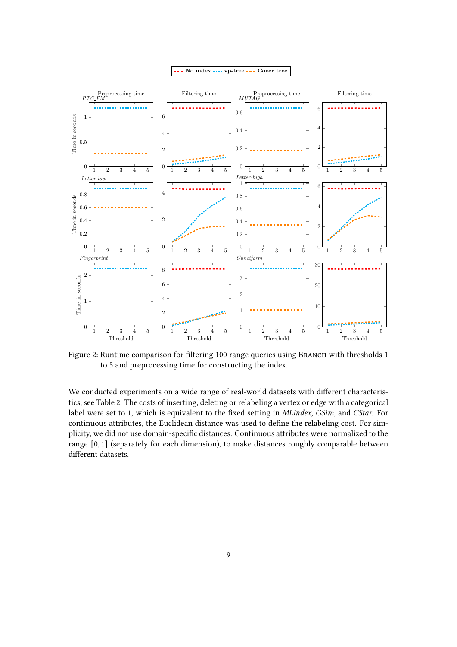<span id="page-8-0"></span>

Figure 2: Runtime comparison for filtering 100 range queries using BRANCH with thresholds 1 to 5 and preprocessing time for constructing the index.

We conducted experiments on a wide range of real-world datasets with different characteristics, see Table [2.](#page-7-0) The costs of inserting, deleting or relabeling a vertex or edge with a categorical label were set to 1, which is equivalent to the fixed setting in MLIndex, GSim, and CStar. For continuous attributes, the Euclidean distance was used to define the relabeling cost. For simplicity, we did not use domain-specific distances. Continuous attributes were normalized to the range [0, 1] (separately for each dimension), to make distances roughly comparable between different datasets.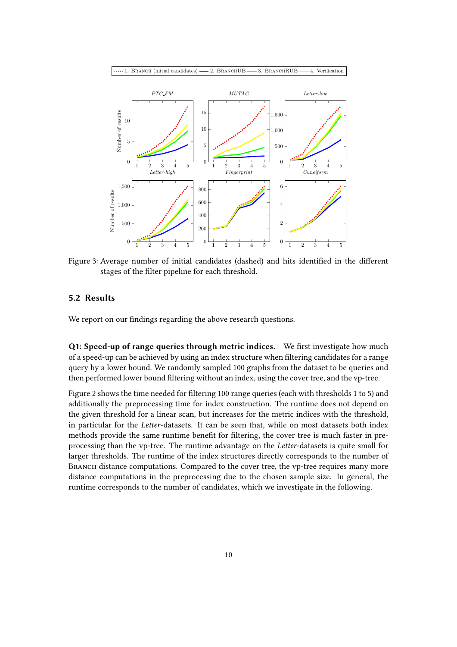<span id="page-9-0"></span>

Figure 3: Average number of initial candidates (dashed) and hits identified in the different stages of the filter pipeline for each threshold.

### 5.2 Results

We report on our findings regarding the above research questions.

Q1: Speed-up of range queries through metric indices. We first investigate how much of a speed-up can be achieved by using an index structure when filtering candidates for a range query by a lower bound. We randomly sampled 100 graphs from the dataset to be queries and then performed lower bound filtering without an index, using the cover tree, and the vp-tree.

Figure [2](#page-8-0) shows the time needed for filtering 100 range queries (each with thresholds 1 to 5) and additionally the preprocessing time for index construction. The runtime does not depend on the given threshold for a linear scan, but increases for the metric indices with the threshold, in particular for the Letter-datasets. It can be seen that, while on most datasets both index methods provide the same runtime benefit for filtering, the cover tree is much faster in preprocessing than the vp-tree. The runtime advantage on the Letter-datasets is quite small for larger thresholds. The runtime of the index structures directly corresponds to the number of BRANCH distance computations. Compared to the cover tree, the vp-tree requires many more distance computations in the preprocessing due to the chosen sample size. In general, the runtime corresponds to the number of candidates, which we investigate in the following.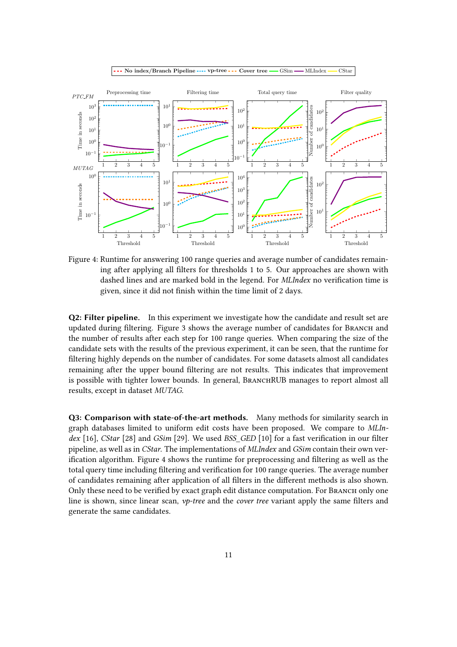<span id="page-10-0"></span>

Figure 4: Runtime for answering 100 range queries and average number of candidates remaining after applying all filters for thresholds 1 to 5. Our approaches are shown with dashed lines and are marked bold in the legend. For *MLIndex* no verification time is given, since it did not finish within the time limit of 2 days.

Q2: Filter pipeline. In this experiment we investigate how the candidate and result set are updated during filtering. Figure [3](#page-9-0) shows the average number of candidates for BRANCH and the number of results after each step for 100 range queries. When comparing the size of the candidate sets with the results of the previous experiment, it can be seen, that the runtime for filtering highly depends on the number of candidates. For some datasets almost all candidates remaining after the upper bound filtering are not results. This indicates that improvement is possible with tighter lower bounds. In general, BRANCHRUB manages to report almost all results, except in dataset MUTAG.

Q3: Comparison with state-of-the-art methods. Many methods for similarity search in graph databases limited to uniform edit costs have been proposed. We compare to MLIndex  $[16]$ , CStar  $[28]$  and GSim  $[29]$ . We used BSS GED  $[10]$  for a fast verification in our filter pipeline, as well as in CStar. The implementations of MLIndex and GSim contain their own ver-ification algorithm. Figure [4](#page-10-0) shows the runtime for preprocessing and filtering as well as the total query time including filtering and verification for 100 range queries. The average number of candidates remaining after application of all filters in the different methods is also shown. Only these need to be verified by exact graph edit distance computation. For BRANCH only one line is shown, since linear scan,  $vp$ -tree and the *cover tree* variant apply the same filters and generate the same candidates.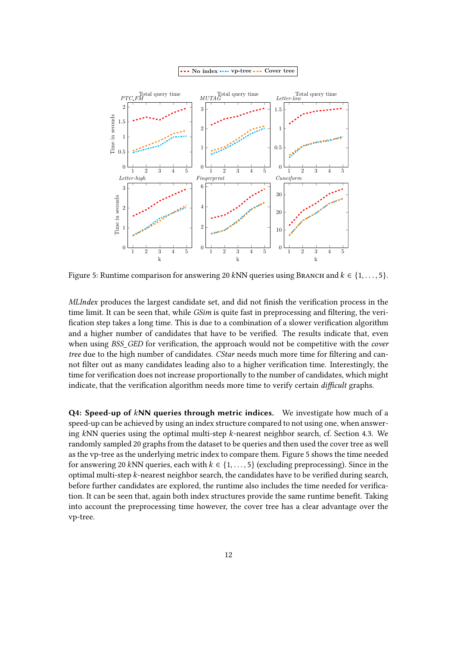<span id="page-11-0"></span>

Figure 5: Runtime comparison for answering 20 kNN queries using BRANCH and  $k \in \{1, \ldots, 5\}$ .

MLIndex produces the largest candidate set, and did not finish the verification process in the time limit. It can be seen that, while  $GSim$  is quite fast in preprocessing and filtering, the verification step takes a long time. This is due to a combination of a slower verification algorithm and a higher number of candidates that have to be verified. The results indicate that, even when using BSS GED for verification, the approach would not be competitive with the cover tree due to the high number of candidates. CStar needs much more time for filtering and cannot filter out as many candidates leading also to a higher verification time. Interestingly, the time for verification does not increase proportionally to the number of candidates, which might indicate, that the verification algorithm needs more time to verify certain *difficult* graphs.

 $Q4$ : Speed-up of  $kNN$  queries through metric indices. We investigate how much of a speed-up can be achieved by using an index structure compared to not using one, when answering  $kNN$  queries using the optimal multi-step  $k$ -nearest neighbor search, cf. Section [4.3.](#page-6-0) We randomly sampled 20 graphs from the dataset to be queries and then used the cover tree as well as the vp-tree as the underlying metric index to compare them. Figure [5](#page-11-0) shows the time needed for answering 20 kNN queries, each with  $k \in \{1, \ldots, 5\}$  (excluding preprocessing). Since in the optimal multi-step  $k$ -nearest neighbor search, the candidates have to be verified during search, before further candidates are explored, the runtime also includes the time needed for verification. It can be seen that, again both index structures provide the same runtime benefit. Taking into account the preprocessing time however, the cover tree has a clear advantage over the vp-tree.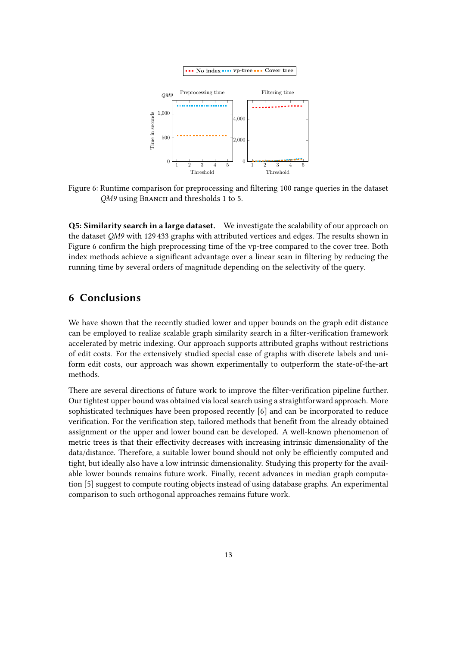<span id="page-12-0"></span>

Figure 6: Runtime comparison for preprocessing and filtering 100 range queries in the dataset OM9 using BRANCH and thresholds 1 to 5.

Q5: Similarity search in a large dataset. We investigate the scalability of our approach on the dataset QM9 with 129 433 graphs with attributed vertices and edges. The results shown in Figure [6](#page-12-0) confirm the high preprocessing time of the vp-tree compared to the cover tree. Both index methods achieve a significant advantage over a linear scan in filtering by reducing the running time by several orders of magnitude depending on the selectivity of the query.

### 6 Conclusions

We have shown that the recently studied lower and upper bounds on the graph edit distance can be employed to realize scalable graph similarity search in a filter-verification framework accelerated by metric indexing. Our approach supports attributed graphs without restrictions of edit costs. For the extensively studied special case of graphs with discrete labels and uniform edit costs, our approach was shown experimentally to outperform the state-of-the-art methods.

There are several directions of future work to improve the filter-verification pipeline further. Our tightest upper bound was obtained via local search using a straightforward approach. More sophisticated techniques have been proposed recently [\[6\]](#page-13-15) and can be incorporated to reduce verification. For the verification step, tailored methods that benefit from the already obtained assignment or the upper and lower bound can be developed. A well-known phenomenon of metric trees is that their effectivity decreases with increasing intrinsic dimensionality of the data/distance. Therefore, a suitable lower bound should not only be efficiently computed and tight, but ideally also have a low intrinsic dimensionality. Studying this property for the available lower bounds remains future work. Finally, recent advances in median graph computation [\[5\]](#page-13-6) suggest to compute routing objects instead of using database graphs. An experimental comparison to such orthogonal approaches remains future work.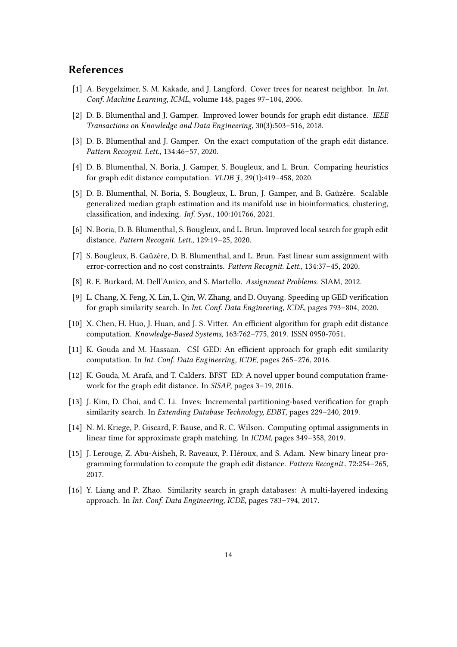### References

- <span id="page-13-13"></span>[1] A. Beygelzimer, S. M. Kakade, and J. Langford. Cover trees for nearest neighbor. In *Int.* Conf. Machine Learning, ICML, volume 148, pages 97–104, 2006.
- <span id="page-13-5"></span>[2] D. B. Blumenthal and J. Gamper. Improved lower bounds for graph edit distance. IEEE Transactions on Knowledge and Data Engineering, 30(3):503–516, 2018.
- <span id="page-13-11"></span>[3] D. B. Blumenthal and J. Gamper. On the exact computation of the graph edit distance. Pattern Recognit. Lett., 134:46–57, 2020.
- <span id="page-13-4"></span>[4] D. B. Blumenthal, N. Boria, J. Gamper, S. Bougleux, and L. Brun. Comparing heuristics for graph edit distance computation. VLDB J., 29(1):419–458, 2020.
- <span id="page-13-6"></span>[5] D. B. Blumenthal, N. Boria, S. Bougleux, L. Brun, J. Gamper, and B. Gaüzère. Scalable generalized median graph estimation and its manifold use in bioinformatics, clustering, classification, and indexing. Inf. Syst., 100:101766, 2021.
- <span id="page-13-15"></span>[6] N. Boria, D. B. Blumenthal, S. Bougleux, and L. Brun. Improved local search for graph edit distance. Pattern Recognit. Lett., 129:19–25, 2020.
- <span id="page-13-14"></span>[7] S. Bougleux, B. Gaüzère, D. B. Blumenthal, and L. Brun. Fast linear sum assignment with error-correction and no cost constraints. Pattern Recognit. Lett., 134:37–45, 2020.
- <span id="page-13-12"></span>[8] R. E. Burkard, M. Dell'Amico, and S. Martello. Assignment Problems. SIAM, 2012.
- <span id="page-13-7"></span>[9] L. Chang, X. Feng, X. Lin, L. Qin, W. Zhang, and D. Ouyang. Speeding up GED verification for graph similarity search. In Int. Conf. Data Engineering, ICDE, pages 793–804, 2020.
- <span id="page-13-2"></span>[10] X. Chen, H. Huo, J. Huan, and J. S. Vitter. An efficient algorithm for graph edit distance computation. Knowledge-Based Systems, 163:762–775, 2019. ISSN 0950-7051.
- <span id="page-13-8"></span>[11] K. Gouda and M. Hassaan. CSI GED: An efficient approach for graph edit similarity computation. In Int. Conf. Data Engineering, ICDE, pages 265–276, 2016.
- <span id="page-13-10"></span>[12] K. Gouda, M. Arafa, and T. Calders. BFST\_ED: A novel upper bound computation framework for the graph edit distance. In SISAP, pages 3–19, 2016.
- <span id="page-13-1"></span>[13] J. Kim, D. Choi, and C. Li. Inves: Incremental partitioning-based verification for graph similarity search. In Extending Database Technology, EDBT, pages 229–240, 2019.
- <span id="page-13-9"></span>[14] N. M. Kriege, P. Giscard, F. Bause, and R. C. Wilson. Computing optimal assignments in linear time for approximate graph matching. In ICDM, pages 349–358, 2019.
- <span id="page-13-3"></span>[15] J. Lerouge, Z. Abu-Aisheh, R. Raveaux, P. Héroux, and S. Adam. New binary linear programming formulation to compute the graph edit distance. Pattern Recognit., 72:254–265, 2017.
- <span id="page-13-0"></span>[16] Y. Liang and P. Zhao. Similarity search in graph databases: A multi-layered indexing approach. In Int. Conf. Data Engineering, ICDE, pages 783–794, 2017.